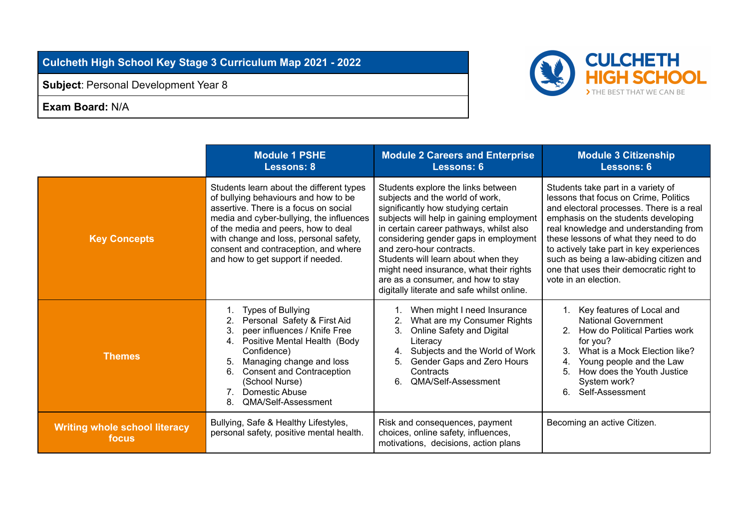**Culcheth High School Key Stage 3 Curriculum Map 2021 - 2022**

**Subject**: Personal Development Year 8

**Exam Board:** N/A



|                                               | <b>Module 1 PSHE</b><br><b>Lessons: 8</b>                                                                                                                                                                                                                                                                                           | <b>Module 2 Careers and Enterprise</b><br>Lessons: 6                                                                                                                                                                                                                                                                                                                                                                                          | <b>Module 3 Citizenship</b><br><b>Lessons: 6</b>                                                                                                                                                                                                                                                                                                                                                           |
|-----------------------------------------------|-------------------------------------------------------------------------------------------------------------------------------------------------------------------------------------------------------------------------------------------------------------------------------------------------------------------------------------|-----------------------------------------------------------------------------------------------------------------------------------------------------------------------------------------------------------------------------------------------------------------------------------------------------------------------------------------------------------------------------------------------------------------------------------------------|------------------------------------------------------------------------------------------------------------------------------------------------------------------------------------------------------------------------------------------------------------------------------------------------------------------------------------------------------------------------------------------------------------|
| <b>Key Concepts</b>                           | Students learn about the different types<br>of bullying behaviours and how to be<br>assertive. There is a focus on social<br>media and cyber-bullying, the influences<br>of the media and peers, how to deal<br>with change and loss, personal safety,<br>consent and contraception, and where<br>and how to get support if needed. | Students explore the links between<br>subjects and the world of work,<br>significantly how studying certain<br>subjects will help in gaining employment<br>in certain career pathways, whilst also<br>considering gender gaps in employment<br>and zero-hour contracts.<br>Students will learn about when they<br>might need insurance, what their rights<br>are as a consumer, and how to stay<br>digitally literate and safe whilst online. | Students take part in a variety of<br>lessons that focus on Crime, Politics<br>and electoral processes. There is a real<br>emphasis on the students developing<br>real knowledge and understanding from<br>these lessons of what they need to do<br>to actively take part in key experiences<br>such as being a law-abiding citizen and<br>one that uses their democratic right to<br>vote in an election. |
| <b>Themes</b>                                 | <b>Types of Bullying</b><br>Personal Safety & First Aid<br>peer influences / Knife Free<br>3.<br>Positive Mental Health (Body<br>4.<br>Confidence)<br>Managing change and loss<br>5.<br><b>Consent and Contraception</b><br>6.<br>(School Nurse)<br>Domestic Abuse<br>7 <sub>1</sub><br>QMA/Self-Assessment<br>8.                   | When might I need Insurance<br>What are my Consumer Rights<br>Online Safety and Digital<br>3.<br>Literacy<br>Subjects and the World of Work<br>4.<br>Gender Gaps and Zero Hours<br>Contracts<br>QMA/Self-Assessment<br>6.                                                                                                                                                                                                                     | Key features of Local and<br><b>National Government</b><br>2. How do Political Parties work<br>for you?<br>What is a Mock Election like?<br>3.<br>Young people and the Law<br>4.<br>How does the Youth Justice<br>5.<br>System work?<br>6.<br>Self-Assessment                                                                                                                                              |
| <b>Writing whole school literacy</b><br>focus | Bullying, Safe & Healthy Lifestyles,<br>personal safety, positive mental health.                                                                                                                                                                                                                                                    | Risk and consequences, payment<br>choices, online safety, influences,<br>motivations, decisions, action plans                                                                                                                                                                                                                                                                                                                                 | Becoming an active Citizen.                                                                                                                                                                                                                                                                                                                                                                                |